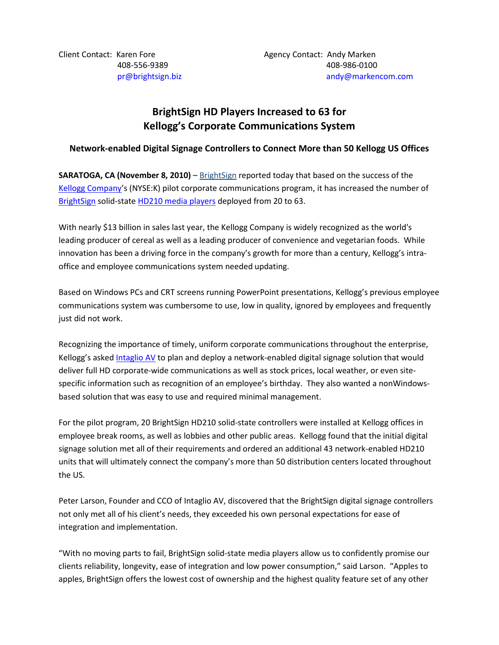Client Contact: Karen Fore **Agency Contact:** Andy Marken

# **BrightSign HD Players Increased to 63 for Kellogg's Corporate Communications System**

## **Network-enabled Digital Signage Controllers to Connect More than 50 Kellogg US Offices**

**SARATOGA, CA (November 8, 2010)** – [BrightSign](http://www.brightsign.biz/) reported today that based on the success of the [Kellogg Company'](http://kelloggs.com/)s (NYSE:K) pilot corporate communications program, it has increased the number of [BrightSign](http://www.brightsignbiz.com/) solid-state [HD210 media players](http://www.brightsign.biz/products/hd210.php) deployed from 20 to 63.

With nearly \$13 billion in sales last year, the Kellogg Company is widely recognized as the world's leading producer of cereal as well as a leading producer of convenience and vegetarian foods. While innovation has been a driving force in the company's growth for more than a century, Kellogg's intraoffice and employee communications system needed updating.

Based on Windows PCs and CRT screens running PowerPoint presentations, Kellogg's previous employee communications system was cumbersome to use, low in quality, ignored by employees and frequently just did not work.

Recognizing the importance of timely, uniform corporate communications throughout the enterprise, Kellogg's asked [Intaglio AV](http://intaglioav.com/) to plan and deploy a network-enabled digital signage solution that would deliver full HD corporate-wide communications as well as stock prices, local weather, or even sitespecific information such as recognition of an employee's birthday. They also wanted a nonWindowsbased solution that was easy to use and required minimal management.

For the pilot program, 20 BrightSign HD210 solid-state controllers were installed at Kellogg offices in employee break rooms, as well as lobbies and other public areas. Kellogg found that the initial digital signage solution met all of their requirements and ordered an additional 43 network-enabled HD210 units that will ultimately connect the company's more than 50 distribution centers located throughout the US.

Peter Larson, Founder and CCO of Intaglio AV, discovered that the BrightSign digital signage controllers not only met all of his client's needs, they exceeded his own personal expectations for ease of integration and implementation.

"With no moving parts to fail, BrightSign solid-state media players allow us to confidently promise our clients reliability, longevity, ease of integration and low power consumption," said Larson. "Apples to apples, BrightSign offers the lowest cost of ownership and the highest quality feature set of any other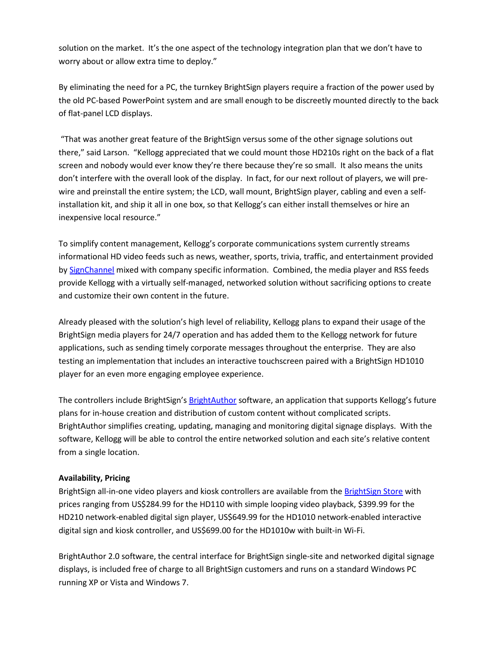solution on the market. It's the one aspect of the technology integration plan that we don't have to worry about or allow extra time to deploy."

By eliminating the need for a PC, the turnkey BrightSign players require a fraction of the power used by the old PC-based PowerPoint system and are small enough to be discreetly mounted directly to the back of flat-panel LCD displays.

"That was another great feature of the BrightSign versus some of the other signage solutions out there," said Larson. "Kellogg appreciated that we could mount those HD210s right on the back of a flat screen and nobody would ever know they're there because they're so small. It also means the units don't interfere with the overall look of the display. In fact, for our next rollout of players, we will prewire and preinstall the entire system; the LCD, wall mount, BrightSign player, cabling and even a selfinstallation kit, and ship it all in one box, so that Kellogg's can either install themselves or hire an inexpensive local resource."

To simplify content management, Kellogg's corporate communications system currently streams informational HD video feeds such as news, weather, sports, trivia, traffic, and entertainment provided by [SignChannel](http://www.signchannel.com/) mixed with company specific information. Combined, the media player and RSS feeds provide Kellogg with a virtually self-managed, networked solution without sacrificing options to create and customize their own content in the future.

Already pleased with the solution's high level of reliability, Kellogg plans to expand their usage of the BrightSign media players for 24/7 operation and has added them to the Kellogg network for future applications, such as sending timely corporate messages throughout the enterprise. They are also testing an implementation that includes an interactive touchscreen paired with a BrightSign HD1010 player for an even more engaging employee experience.

The controllers include BrightSign's [BrightAuthor](http://www.brightsign.biz/products/brightauthor.php) software, an application that supports Kellogg's future plans for in-house creation and distribution of custom content without complicated scripts. BrightAuthor simplifies creating, updating, managing and monitoring digital signage displays. With the software, Kellogg will be able to control the entire networked solution and each site's relative content from a single location.

## **Availability, Pricing**

BrightSign all-in-one video players and kiosk controllers are available from th[e BrightSign Store](http://store.brightsign.biz/Store-W1.aspx) with prices ranging from US\$284.99 for the HD110 with simple looping video playback, \$399.99 for the HD210 network-enabled digital sign player, US\$649.99 for the HD1010 network-enabled interactive digital sign and kiosk controller, and US\$699.00 for the HD1010w with built-in Wi-Fi.

BrightAuthor 2.0 software, the central interface for BrightSign single-site and networked digital signage displays, is included free of charge to all BrightSign customers and runs on a standard Windows PC running XP or Vista and Windows 7.